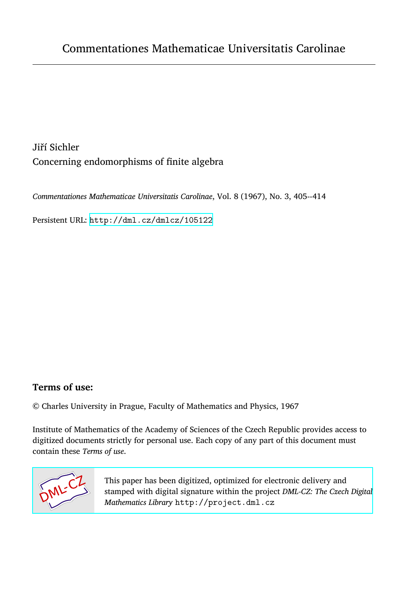Jiří Sichler Concerning endomorphisms of finite algebra

*Commentationes Mathematicae Universitatis Carolinae*, Vol. 8 (1967), No. 3, 405--414

Persistent URL: <http://dml.cz/dmlcz/105122>

## **Terms of use:**

© Charles University in Prague, Faculty of Mathematics and Physics, 1967

Institute of Mathematics of the Academy of Sciences of the Czech Republic provides access to digitized documents strictly for personal use. Each copy of any part of this document must contain these *Terms of use*.



[This paper has been digitized, optimized for electronic delivery and](http://project.dml.cz) stamped with digital signature within the project *DML-CZ: The Czech Digital Mathematics Library* http://project.dml.cz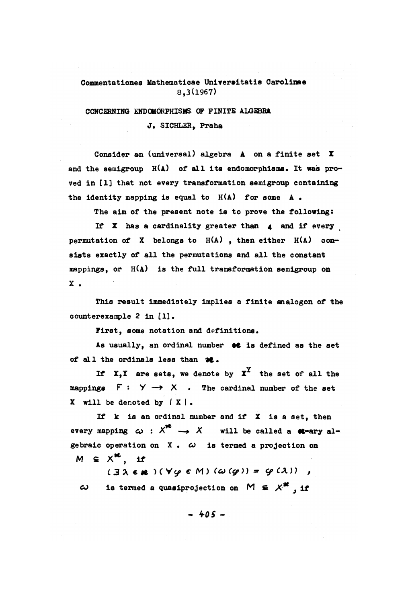## **Commentationes Mathematicae Univeraitatis Carolinae 8,3(1967)**

**CONCERNING ENDCMCRPHISMS OF FINITE ALGEBRA.**  J. SICHLER. Praha

**Consider an (universal) algebra A on a flnite set X and the semigroup H(A) of all its endomorphisms. It was proved in [1] that not every transformation semigroup containing the identity mapping is equal to H(A) for some A •** 

The aim of the present note is to prove the following:

**If X has a cardinality greater than 4 and if every permutation of X belongs to H(A) , then either H(A) consists exaotly of all the permutations and all the constant mappings, or H(A) is the full transformation semigroup on X .** 

**This re suit immediately implies a finite analogon of the counterexample 2 in [1].** 

First, some notation and definitions.

As usually, an ordinal number  $\bullet\bullet$  is defined as the set of all the ordinals less than  $\partial$ **c**.

**If**  $x, y$  **are sets, we denote by**  $x^T$  **the set of all the mappings F s Y — • X . The cardinal number of the set X will be denoted by í X I .** 

**If k is an ordinal number and if X is a set, then**  every mapping  $\omega$  :  $X^{r^2} \rightarrow X$  will be called a **c**-ary al**gebralc operát ion on X •** *co* **is termed a projection on**   $M \subseteq X^{\mathbf{K}}$ , if

**C3 A c \* )(Vy c** *M) (co (&)) \* Cf CA)) ,*   $\omega$  is termed a quasiprojection on  $M \subseteq X^*$ , if

**•** *k-OS* **-**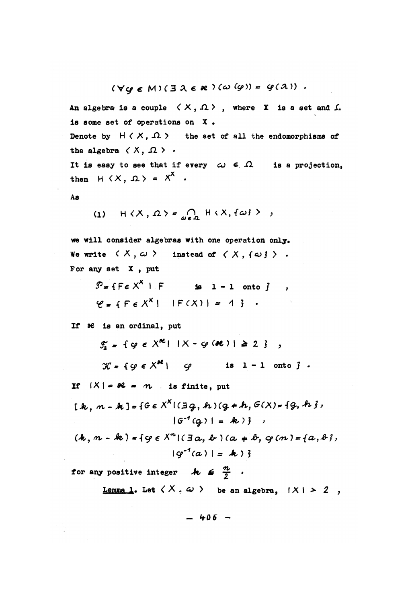$(\forall \omega \in M)(\exists \lambda \in \mathcal{X})(\omega (\varphi)) = \varphi(\lambda))$ .

An algebra is a couple  $(X, \Omega)$ , where X is a set and  $\Omega$ is some set of operations on  $X$ . Denote by  $H \langle X, \Omega \rangle$  the set of all the endomorphisms of the algebra  $\langle X, \Omega \rangle$ . It is easy to see that if every  $\omega \in \Omega$  is a projection.

then  $H(X, \Omega) = X^X$ .

$$
\mathbf{A}\mathbf{s}
$$

$$
(1) \quad H \langle X, \Omega \rangle = \bigcap_{\omega \in \Omega} H \langle X, \{\omega\} \rangle \ ,
$$

we will consider algebras with one operation only. We write  $\langle X, \omega \rangle$  instead of  $\langle X, \{\omega\} \rangle$ . For any set  $X$ , put

> $\mathcal{P} = \{F \in X^X \mid F$  is  $1 - 1$  onto  $\}$ ,  $Y = \{F \in X^X | |F(X)| = 1\}$ .

If  $\partial e$  is an ordinal, put

 $f'_1 = \{ \varphi \in X^{\mathcal{R}} \mid |X - \varphi(\mathcal{R})| \geq 2 \}$ 

 $\mathcal{K} = \{ \varphi \in X^{2\ell} \mid \varphi \text{ is } 1 - 1 \text{ onto } \}$ .

If  $|X| = \mathcal{X} - n$  is finite, put

$$
[k, n - k] = \{G \in X^X | (g, h)(g + h, G(X) = \{g, h\},
$$

$$
|G^{-1}(g)| = k \} ,
$$

 $(k, n - k) = {g \in X^n | (a, k) (a * k, q(n) = {a, b},)}$  $|q^{-1}(a)| = k$ ) }

for any positive integer  $k \in \frac{n}{2}$ . Lemma 1. Let  $\langle X, \omega \rangle$  be an algebra,  $|X| > 2$ ,

 $-406 -$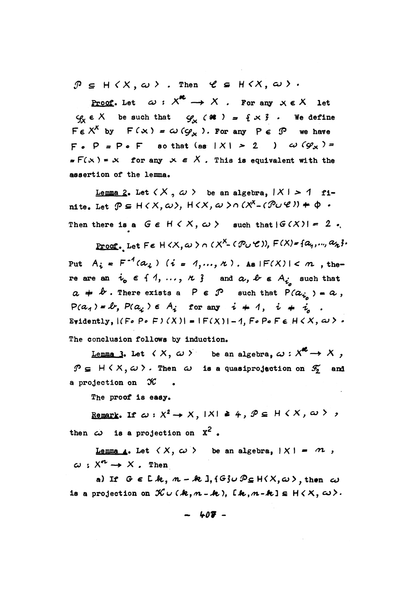$\mathcal{P} \subseteq H \langle X, \omega \rangle$ . Then  $\mathcal{C} \subseteq H \langle X, \omega \rangle$ .

**Proof.** Let  $\omega: X^{\infty} \to X$ . For any  $x \in X$  let  $\varphi_x \in X$  be such that  $\varphi_x$  ( at ) = { x } . We define  $F \in X^X$  by  $F(x) = \omega(g_x)$ . For any  $P \in \mathcal{P}$  we have  $F \circ P = P \circ F$  so that (as  $|X| > 2$  )  $\omega (G_X) =$  $\text{F(x)}$  = x for any x  $\epsilon$  X. This is equivalent with the assertion of the lemma.

Lemma 2. Let  $(X, \omega)$  be an algebra.  $|X| > 1$  finite. Let  $\mathcal{P} \subseteq H \times X, \omega$ ,  $H \times X, \omega > 0$   $(X^X - (\mathcal{P} \cup \mathcal{C})) + \varphi$ . Then there is a  $G \in H \langle X, \omega \rangle$  such that  $|G(X)| = 2$ .

Proof. Let  $F \in H \langle X, \omega \rangle \cap (X^X \cap (\mathcal{P}_U \cup \mathcal{C}))$ ,  $F(X) = \{a_q, ..., a_k\}$ . Put  $A_i = F^{-1}(a_i)$   $(i = 1, ..., n)$ . As  $|F(X)| < n$ , there are an  $i_0 \in \{1, ..., n\}$  and  $a, b \in A_i$  such that  $a + b$ . There exists a  $P \in \mathcal{P}$  such that  $P(a_{i}) = a$ ,  $P(a_1) = \ell, P(a_i) \in A_i$  for any  $i + 1$ ,  $i + i$ . Evidently,  $|(F \circ P \circ F)(X)| = |F(X)| - 1$ ,  $F \circ P \circ F \in H \times X$ ,  $\omega > 0$ The conclusion follows by induction.

Lemma 3. Let  $\langle X, \omega \rangle$  be an algebra,  $\omega : X^{\mathcal{E}} \to X$ ,  $\mathcal{P} \subseteq H \times X, \omega$ . Then  $\omega$  is a quasiprojection on  $\mathcal{F}_2$  and a projection on  $\mathcal K$  .

The proof is easy.

Remark. If  $\omega : X^2 \to X$ ,  $|X| \ge 4$ ,  $\mathcal{P} \subseteq H \times X$ ,  $\omega > 0$ then  $\omega$  is a projection on  $x^2$ .

Lemma 4. Let  $\langle X, \omega \rangle$  be an algebra,  $|X| = m$ ,  $\omega: X^n \rightarrow X$ . Then

a) If  $G \in L k$ ,  $m - k$  ],  $\{G\} \cup \mathcal{P}_{\subseteq} H(X, \omega)$ , then  $\omega$ is a projection on  $K \cup (k, m - k)$ , [k,  $m - k$ ]  $\subseteq H \langle X, \omega \rangle$ .

$$
- 407 -
$$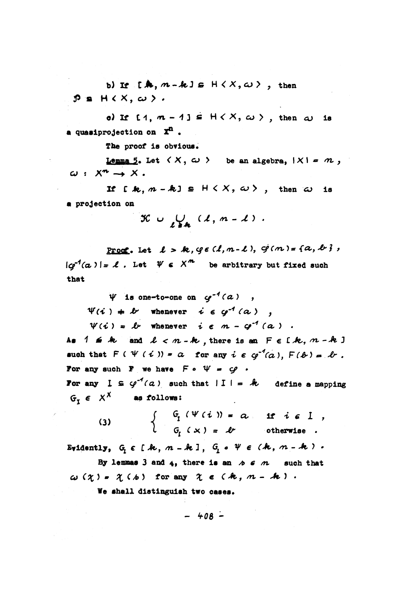b) If  $[A, m-k] \in H \langle X, \omega \rangle$ , then  $P = H(X, \omega)$ .

o) If  $[1, m-1] \subseteq H\langle X, \omega \rangle$ , then  $\omega$  is a quasiprojection on  $\mathbf{x}^n$ .

The proof is obvious.

Lemma 5. Let  $\langle X, \omega \rangle$  be an algebra,  $|X| = m$ ,  $\omega: X^n \rightarrow X$ .

If  $[k, m-k] \in H \langle X, \omega \rangle$ , then  $\omega$  is a projection on

$$
\mathcal{K} \cup \bigcup_{\ell \in \mathbf{A}} (\ell, m - \ell) .
$$

Proof. Let  $l > k$ ,  $q \in (l, m-l)$ ,  $q(m) = \{a, b\}$ ,  $|c^{0}(\alpha)| = \ell$ . Let  $\psi \in X^{m}$  be arbitrary but fixed such that

 $\Psi$  is one-to-one on  $\varphi^{-1}(a)$ ,

 $\Psi(i) + k$  whenever  $i \in \varphi^{-1}(a)$ ,

 $\Psi(i) = \ell$  whenever  $i \in m - \varphi^{-1}(a)$ .

As  $1 \leq k$  and  $l < n-k$ , there is an  $F \in [k, n-k]$ such that  $F(\Psi(i)) = a$  for any  $i \in q^{-1}(a)$ ,  $F(b) = b$ . For any such  $F$  we have  $F \circ \Psi = \varphi$ . For any  $I \subseteq \varphi^{-1}(a)$  such that  $|I| = k$  define a mapping

 $G_r \in X^X$  as follows:

(3) 
$$
\begin{cases} G_{I} (V(i)) = \alpha, & \text{if } i \in I, \\ G_{I}(x) = \ell, & \text{otherwise.} \end{cases}
$$

Evidently, G, E [k, n - k], G, .  $\Psi \in (k, n - k)$ . By lemmas 3 and 4, there is an  $A \in \mathcal{M}$  such that

 $\omega(\chi)$  =  $\chi(\kappa)$  for any  $\chi \in (k, n - k)$ .

We shall distinguish two cases.

$$
-408-
$$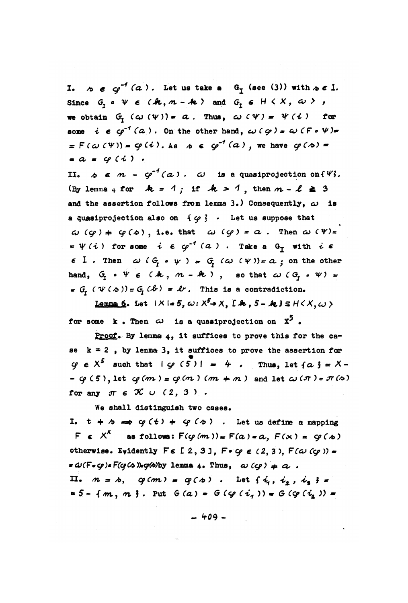I.  $\phi \in \mathcal{O}^{-1}(\alpha)$ . Let us take a  $G_{\tau}$  (see (3)) with  $\phi \in L$ . Since  $G, o \psi \in (k, m - k)$  and  $G, \epsilon \cup \langle X, \omega \rangle$ , we obtain G,  $(\omega \, (\psi)) = a$ . Thus,  $\omega \, (\psi) = \psi \, (\iota)$  for some  $i \in \varphi^{-1}(a)$ . On the other hand,  $\omega(\varphi) = \omega(F \circ \psi)$ .  $\pi F(\omega(\Psi)) = \varphi(i)$ . As  $\phi \in \varphi^{-1}(\alpha)$ , we have  $\varphi(\phi) =$  $= a = \varphi(i)$ .

II.  $\phi \in m - \varphi^{-1}(\alpha)$ .  $\omega$  is a quasiprojection on  $\{ \varphi\}$ . (By lemma 4 for  $k = 1$ ; if  $k > 1$ , then  $m - \ell \geq 3$ and the assertion follows from lemma 3.) Consequently,  $\omega$  is a quasiprojection also on  $\{ \varphi \}$ . Let us suppose that  $\omega$  (cq)  $\neq$  cq( $\infty$ ), i.e. that  $\omega$  (cq) =  $\alpha$ . Then  $\omega$  ( $\psi$ )=  $=\psi(i)$  for some  $i \in \varphi^{-1}(a)$ . Take a G<sub>r</sub> with  $i \in$  $\epsilon$  I. Then  $\omega$  ( $G_r \circ \psi$ ) =  $G_r$  ( $\omega$  ( $\psi$ )) =  $\alpha$ ; on the other hand,  $G_i \circ \Psi \in (k, n - k)$ , so that  $\omega (G_i \circ \Psi) =$  $\sigma_{\tau}$  ( $\psi$  ( $\phi$ )) =  $G_{\tau}$  ( $\phi$ ) =  $\ell$ . This is a contradiction.

Lemma 6. Let  $|X|=5$ ,  $\omega: X^5 \rightarrow X$ ,  $[$   $\mathcal{A}, 5 - \mathcal{A}, 1 \leq H \leq X, \omega$ for some k. Then  $\omega$  is a quasiprojection on  $X^5$ .

Proof. By lemma 4, it suffices to prove this for the case  $k = 2$ , by lemma 3, it suffices to prove the assertion for  $\varphi \in X^5$  such that  $|\varphi(5)| = 4$ . Thus, let  $\{a\} = X -$ -  $\varphi$  (5), let  $\varphi$ (m) =  $\varphi$ (m) (m  $\neq$  n) and let  $\omega$  ( $\pi$ ) =  $\pi$ (b) for any  $\pi \in \mathcal{K} \cup (2, 3)$ .

We shall distinguish two cases.

I.  $t + b \implies \varphi(t) + \varphi(s)$ . Let us define a mapping  $F \in X^X$  as follows:  $F(\varphi(m)) = F(a) = a, F(x) = \varphi(a)$ otherwise. Evidently  $F \in [2, 3]$ ,  $F \cdot \varphi \in (2, 3)$ ,  $F(\omega \negthinspace \langle \varphi \rangle)$ .  $=\omega(F\circ\varphi)\circ F(\varphi(x))\circ\varphi(x)$  by lemma 4. Thus,  $\omega(G) = \alpha$ . II.  $m = \lambda$ ,  $\varphi(m) = \varphi(\lambda)$ . Let  $\{\dot{i}_1, \dot{i}_2, \dot{i}_3\} =$ = 5 - { $m, m$ }. Put  $G(a) = G(g(i, )) = G(g(i, )) =$ 

 $-409-$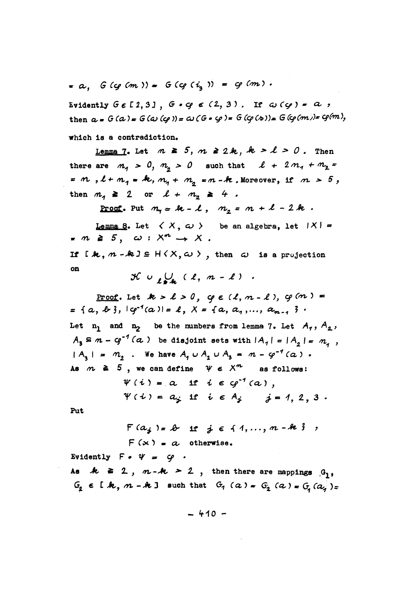= a.  $G(q(m)) = G(q(i,)) = q(m)$ .

Evidently  $G \in [2, 3]$ ,  $G \cdot G \in (2, 3)$ . If  $G(G) = 0$ , then  $a = G(a) = G(a)(q) = a(G \circ q) = G(q(a)) = G(q(m)) = q(m)$ , which is a contradiction.

Lemma 7. Let  $m \geq 5$ ,  $m \geq 2k$ ,  $k > l > 0$ . Then there are  $m_A > 0$ ,  $m_a > 0$  such that  $\ell + 2m_1 + m_2 =$ =  $m$ ,  $l + m_1$  =  $k$ ,  $m_1 + m_2$  =  $m - k$ . Moreover, if  $m > 5$ , then  $m_1 \geq 2$  or  $l + m_2 \geq 4$ .

<u>Proof</u>. Put  $m_q = k - l$ ,  $m_q = m + l - 2k$ .

Lemma 8. Let  $\langle X, \omega \rangle$  be an algebra, let  $|X|$  =  $m \geq 5$ ,  $\omega : X^n \rightarrow X$ .

If  $[R, n - k] \subseteq H(X, \omega)$ , then  $\omega$  is a projection on

 $x \circ \bigcup_{\ell \in \Lambda} (\ell, n - \ell)$ .

Proof. Let  $k > l > 0$ ,  $\varphi \in (l, m-l)$ ,  $\varphi(m) =$ = {a, b},  $|q^{-1}(a)| = 1$ ,  $X = \{a, a_1, ..., a_{n-1}\}\$ . Let  $n_1$  and  $n_2$  be the numbers from lemma 7. Let  $A_7$ ,  $A_2$ ,  $A_2 \subseteq m - q^{-1}(a)$  be disjoint sets with  $|A_1| = |A_2| = m$ ,  $|A_2| = m_2$ . We have  $A_1 \cup A_2 \cup A_3 = m - \varphi^{-1}(\alpha)$ . As  $m \ge 5$ , we can define  $\psi \in X^{n}$  as follows:  $\Psi(i) = a$  if  $i \in \varphi^{-1}(a)$ ,  $\Psi(i) = a_i$  if  $i \in A_i$   $j = 1, 2, 3$ .

Put

$$
F(a_j) = b
$$
 if  $j \in \{1, ..., m - k\}$ ;  
 $F(x) = a$  otherwise.

Evidently  $F \cdot \Psi = \varphi$ .

As  $k \ge 2$ ,  $n-k \ge 2$ , then there are mappings  $G_1$ ,  $G_2 \in [k, n-k]$  such that  $G_1(\alpha) = G_2(\alpha) = G_1(\alpha) = 0$ 

 $-410 -$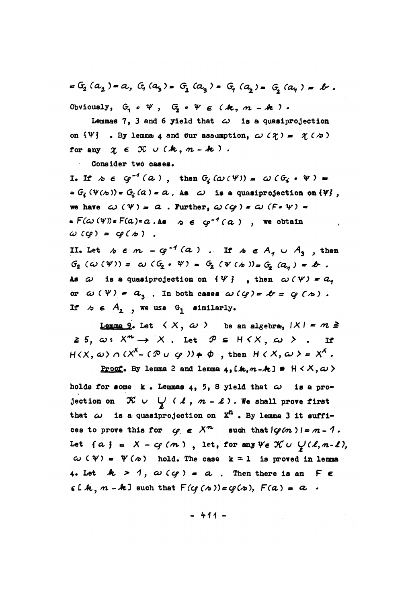$= G_2 (a_2) = a, G_1 (a_3) = G_3 (a_2) = G_1 (a_3) = G_2 (a_1) = b.$ Obviously,  $G_i \circ \Psi$ ,  $G_i \circ \Psi \in (k, n-k)$ .

Lemmas 7, 3 and 6 yield that  $\omega$  is a quasiprojection on  $\{\Psi\}$ . By lemma 4 and our assumption,  $\omega$  ( $\chi$ ) =  $\chi$  ( $\infty$ ) for any  $\chi \in \mathcal{K} \cup (k, n-k)$ .

Consider two cases.

I. If  $\phi \in \varphi^{-1}(\alpha)$ , then  $G_i(\omega(\Psi)) = \omega(G_i \cdot \Psi) =$ =  $G_i(\Psi(\omega))$  =  $G_i(a)$  =  $a$ . As  $a$  is a quasiprojection on  $\{\Psi\}$ , we have  $\omega(\Psi) = a$ . Further,  $\omega(q) = \omega(F \cdot \Psi) =$  $F(\omega(V)) = F(a) = a \cdot As$   $\omega \in \omega^{-1}(a)$ , we obtain  $\omega$  (cg) = cg(b).

II. Let  $\land \in m - q^{-1}(a)$ . If  $\land \in A_q \cup A_q$ , then  $G_2(\omega(\Psi)) = \omega(G_2 \cdot \Psi) = G_2(\Psi(\omega)) = G_3(a_4) = \Psi$ . As  $\omega$  is a quasiprojection on  $\{\Psi\}$ , then  $\omega(\Psi) = a_1$ or  $\omega(\Psi) = a_1$ . In both cases  $\omega(\varphi) = \varphi = \varphi(\varphi)$ . If  $\sim$   $\epsilon$   $A_2$ , we use  $G_1$  similarly.

Lemma 9. Let  $\langle X, \omega \rangle$  be an algebra,  $|X| = m \ge$  $\geq 5$ ,  $\omega: X^{m} \rightarrow X$ . Let  $\mathcal{P} \subseteq H(X, \omega)$ . If  $H(X, \omega) \cap (X^X - (\mathcal{P} \cup \mathcal{Q})) \neq \emptyset$ , then  $H(X, \omega) = X^X$ .

Proof. By lemma 2 and lemma 4, [k, n-k]  $\in$   $H$  < X,  $\omega$  >

holds for some  $k$ . Lemmas 4, 5, 8 yield that  $\omega$  is a projection on  $\mathcal{K} \cup \bigcup_{\alpha} (\lambda, \alpha - \ell)$ . We shall prove first that  $\omega$  is a quasiprojection on  $X^n$ . By lemma 3 it suffices to prove this for  $\varphi \in X^{n}$  such that  $|\varphi(n)| = n - 1$ . Let  $\{a\} = X - \mathcal{C}(m)$ , let, for any  $\forall \epsilon \mathcal{K} \cup \mathcal{C}(l, n-l)$ ,  $\omega$  ( $\psi$ ) =  $\psi$  ( $\infty$ ) hold. The case k = 1 is proved in lemma 4. Let  $A > 1$ ,  $\omega(q) = a$ . Then there is an FE  $\epsilon$  [k,  $m - k$ ] such that  $F(q(s)) = g(s)$ ,  $F(a) = a$ .

 $-411-$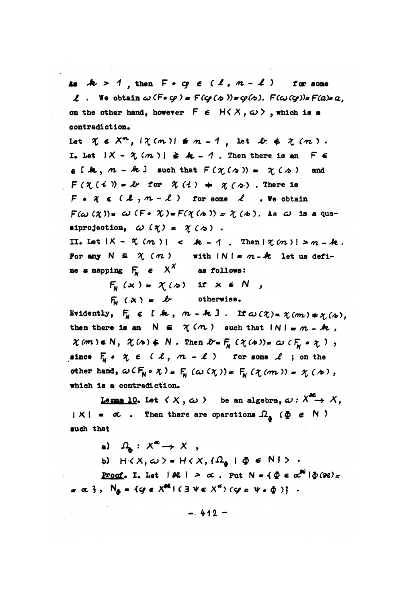As  $k > 1$ , then  $F \circ c \in (l, n-l)$  for some  $\ell$ . We obtain  $\omega$  (F.g.) =  $F(\varphi(\phi)) = \varphi(\phi)$ .  $F(\omega(\varphi)) = F(a) = a$ . on the other hand, however  $F \in H(X, \omega)$ , which is a contradiction.

Let  $\gamma \in X^n$ ,  $|\gamma(m)| \leq m-1$ , let  $\ell \neq \gamma(m)$ . I. Let  $|X - \mathcal{X}(m)| \ge k - 1$ . Then there is an  $F \in$  $\epsilon$  [k,  $m - k$ ] such that  $F(\gamma(\alpha)) = \gamma(\alpha)$ and  $F(\chi(i)) = \ell r$  for  $\chi(i) = \chi(\phi)$ . There is  $F \bullet \mathcal{X} \in (\mathcal{L}, m - \ell)$  for some  $\ell$  . We obtain  $F(\omega(\chi)) = \omega$  (F.  $\chi$ ) =  $F(\chi(\omega)) = \chi(\omega)$ . As  $\omega$  is a quasiprojection,  $\omega(\eta) = \gamma(\eta)$ .

II. Let  $|X - \mathcal{X}(m)| < k - 1$ . Then  $|\mathcal{X}(m)| > m - k$ . For any  $N \subseteq \mathcal{X}(m)$ with  $|N| = n - k$  let us define a mapping  $F_M \in X^X$  as follows:

 $F_N(x) = \chi(x)$  if  $x \in N$ ,

 $F_w$   $(x) = b$  otherwise.

Evidently,  $F_w \in [k, m-k]$ . If  $\omega(\chi) = \chi(m) \neq \chi(\phi)$ . then there is an  $N \in \gamma(n)$  such that  $|N| = n - k$ ,  $\chi(m) \in N$ ,  $\chi(\lambda) \notin N$ . Then  $\ell = \int_{N} (\chi(\lambda)) = \omega(F_{\lambda} \circ \chi)$ , since  $F_N \circ \chi \in (\ell, m - \ell)$  for some  $\ell$  ; on the other hand,  $\omega(\mathsf{F}_{\mathsf{N}} \circ \chi) = \mathsf{F}_{\mathsf{N}}(\omega(\chi)) = \mathsf{F}_{\mathsf{N}}(\chi(m)) = \chi(\chi)$ , which is a contradiction.

Lemma 10. Let  $\langle X, \omega \rangle$  be an algebra,  $\omega: X^{2} \to X$ ,  $|X| = \sigma$ . Then there are operations  $\Omega_{\tilde{a}}$  ( $\tilde{\Phi} \in N$ ) such that

a)  $\Omega_n : X^{\alpha} \to X$ ,

b)  $H \langle X, \omega \rangle = H \langle X, \Omega_a | \Phi \in N \}$ .

**Proof.** I. Let  $|\mathcal{H}| > \alpha$ . Put  $N = {\phi \in \alpha^{\mathcal{H}} | \phi(\mathcal{H}) = \alpha}$  $= \alpha$  },  $N_{\phi} = \{q \in X^{\text{ad}} \mid (3 \vee \epsilon \times^{\epsilon}) \mid (q = \psi \cdot \phi) \}$ .

 $-.412 -$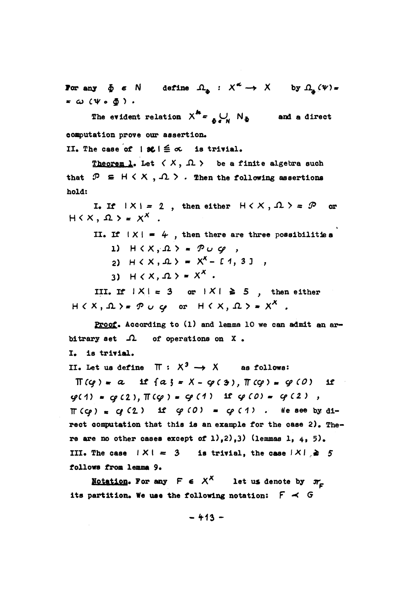For any  $\delta \in \mathbb{N}$  define  $\Omega_n : X^{\sigma} \to X$  by  $\Omega_n(\Psi) =$  $=$   $\omega$  ( $\psi$   $\circ$   $\delta$ ).

The evident relation  $X^h = \bigcup_{\alpha} N_h$  and a direct computation prove our assertion.

II. The case of  $|8c| \leq \sigma$  is trivial.

Theorem 1. Let  $\langle X, \Lambda \rangle$  be a finite algebra such that  $\mathcal{P} \subseteq H \times X$ ,  $\Omega$  > . Then the following assertions hold:

I. If  $|X| = 2$ , then either  $H \langle X, \Omega \rangle = \mathcal{P}$  or  $H(X, \Omega) = X^X$ .

II. If  $|X| = 4$ , then there are three possibilities 1)  $H(X, \Omega) = P \cup \mathcal{Q}$ ,  $P(X, \mathcal{L}) = X^X - [1, 3]$ 

3)  $H(X, \Omega) = X^X$ .

III. If  $|X| = 3$  or  $|X| \ge 5$ , then either  $H(X, \Omega) = P \cup Q$  or  $H(X, \Omega) = X^X$ .

Proof. According to (1) and lemma 10 we can admit an arbitrary set  $\Omega$  of operations on X.

I. is trivial.

II. Let us define  $\Pi : X^3 \rightarrow X$  as follows:

 $\Pi(q) = a$  if  $\{a\} = X - \varphi(3)$ ,  $\Pi(q) = \varphi(0)$  $1f$  $\varphi(1) = \varphi(2), \pi(\varphi) = \varphi(1)$  if  $\varphi(0) = \varphi(2)$ ,  $\pi$ (cp) = cp(2) if cp(0) = cp(1). We see by direct computation that this is an example for the case 2). There are no other cases except of  $1),2),3)$  (lemmas 1, 4, 5). III. The case  $|X| = 3$  is trivial, the case  $|X| \ge 5$ follows from lemma 9.

<u>Notation</u>. For any  $F \in X^X$  let us denote by  $\pi_F$ its partition. We use the following notation:  $F \prec G$ 

 $-413-$